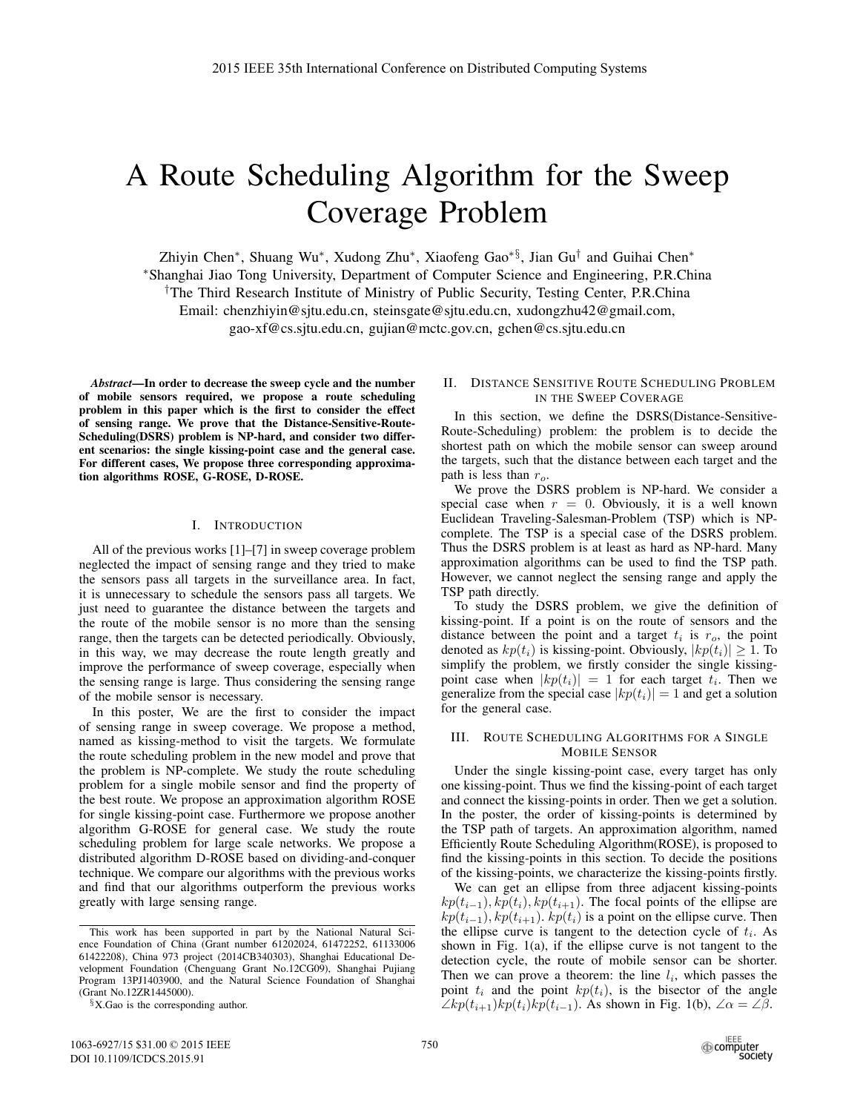# A Route Scheduling Algorithm for the Sweep Coverage Problem

Zhiyin Chen∗, Shuang Wu∗, Xudong Zhu∗, Xiaofeng Gao∗§, Jian Gu† and Guihai Chen∗ ∗Shanghai Jiao Tong University, Department of Computer Science and Engineering, P.R.China †The Third Research Institute of Ministry of Public Security, Testing Center, P.R.China Email: chenzhiyin@sjtu.edu.cn, steinsgate@sjtu.edu.cn, xudongzhu42@gmail.com, gao-xf@cs.sjtu.edu.cn, gujian@mctc.gov.cn, gchen@cs.sjtu.edu.cn

*Abstract*—In order to decrease the sweep cycle and the number of mobile sensors required, we propose a route scheduling problem in this paper which is the first to consider the effect of sensing range. We prove that the Distance-Sensitive-Route-Scheduling(DSRS) problem is NP-hard, and consider two different scenarios: the single kissing-point case and the general case. For different cases, We propose three corresponding approximation algorithms ROSE, G-ROSE, D-ROSE.

## I. INTRODUCTION

All of the previous works [1]–[7] in sweep coverage problem neglected the impact of sensing range and they tried to make the sensors pass all targets in the surveillance area. In fact, it is unnecessary to schedule the sensors pass all targets. We just need to guarantee the distance between the targets and the route of the mobile sensor is no more than the sensing range, then the targets can be detected periodically. Obviously, in this way, we may decrease the route length greatly and improve the performance of sweep coverage, especially when the sensing range is large. Thus considering the sensing range of the mobile sensor is necessary.

In this poster, We are the first to consider the impact of sensing range in sweep coverage. We propose a method, named as kissing-method to visit the targets. We formulate the route scheduling problem in the new model and prove that the problem is NP-complete. We study the route scheduling problem for a single mobile sensor and find the property of the best route. We propose an approximation algorithm ROSE for single kissing-point case. Furthermore we propose another algorithm G-ROSE for general case. We study the route scheduling problem for large scale networks. We propose a distributed algorithm D-ROSE based on dividing-and-conquer technique. We compare our algorithms with the previous works and find that our algorithms outperform the previous works greatly with large sensing range.

# II. DISTANCE SENSITIVE ROUTE SCHEDULING PROBLEM IN THE SWEEP COVERAGE

In this section, we define the DSRS(Distance-Sensitive-Route-Scheduling) problem: the problem is to decide the shortest path on which the mobile sensor can sweep around the targets, such that the distance between each target and the path is less than  $r_o$ .

We prove the DSRS problem is NP-hard. We consider a special case when  $r = 0$ . Obviously, it is a well known Euclidean Traveling-Salesman-Problem (TSP) which is NPcomplete. The TSP is a special case of the DSRS problem. Thus the DSRS problem is at least as hard as NP-hard. Many approximation algorithms can be used to find the TSP path. However, we cannot neglect the sensing range and apply the TSP path directly.

To study the DSRS problem, we give the definition of kissing-point. If a point is on the route of sensors and the distance between the point and a target  $t_i$  is  $r_o$ , the point denoted as  $kp(t_i)$  is kissing-point. Obviously,  $|kp(t_i)| \geq 1$ . To simplify the problem, we firstly consider the single kissingpoint case when  $|kp(t_i)| = 1$  for each target  $t_i$ . Then we generalize from the special case  $|kp(t_i)| = 1$  and get a solution for the general case.

#### III. ROUTE SCHEDULING ALGORITHMS FOR A SINGLE MOBILE SENSOR

Under the single kissing-point case, every target has only one kissing-point. Thus we find the kissing-point of each target and connect the kissing-points in order. Then we get a solution. In the poster, the order of kissing-points is determined by the TSP path of targets. An approximation algorithm, named Efficiently Route Scheduling Algorithm(ROSE), is proposed to find the kissing-points in this section. To decide the positions of the kissing-points, we characterize the kissing-points firstly.

We can get an ellipse from three adjacent kissing-points  $kp(t_{i-1}), kp(t_i), kp(t_{i+1})$ . The focal points of the ellipse are  $kp(t_{i-1}), kp(t_{i+1})$ *, kp*( $t_i$ ) is a point on the ellipse curve. Then the ellipse curve is tangent to the detection cycle of  $t_i$ . As shown in Fig. 1(a), if the ellipse curve is not tangent to the detection cycle, the route of mobile sensor can be shorter. Then we can prove a theorem: the line  $l_i$ , which passes the point  $t_i$  and the point  $kp(t_i)$ , is the bisector of the angle  $\angle kp(t_{i+1})kp(t_i)kp(t_{i-1})$ . As shown in Fig. 1(b),  $\angle \alpha = \angle \beta$ .

This work has been supported in part by the National Natural Science Foundation of China (Grant number 61202024, 61472252, 61133006 61422208), China 973 project (2014CB340303), Shanghai Educational Development Foundation (Chenguang Grant No.12CG09), Shanghai Pujiang Program 13PJ1403900, and the Natural Science Foundation of Shanghai (Grant No.12ZR1445000).

<sup>§</sup>X.Gao is the corresponding author.